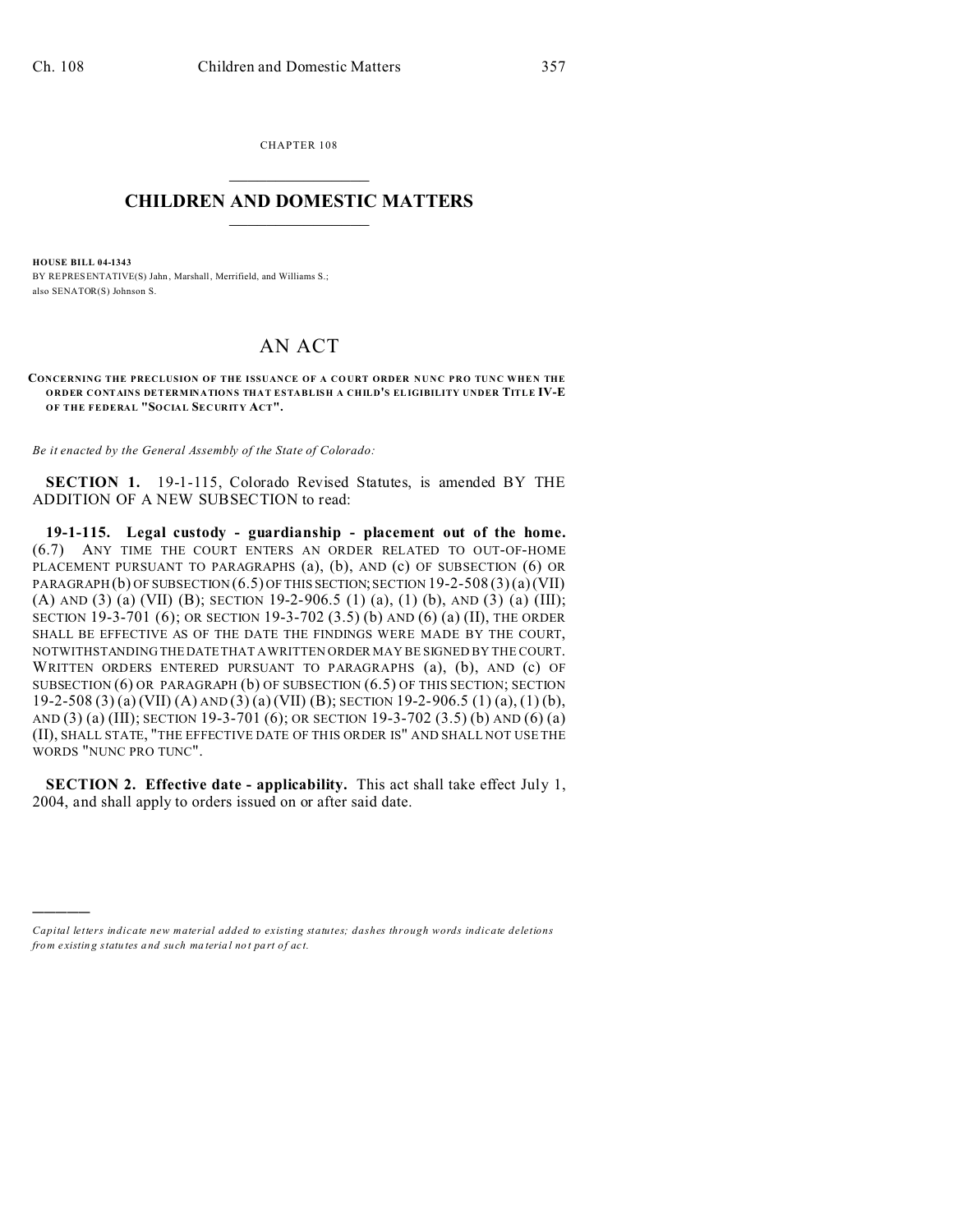)))))

CHAPTER 108  $\overline{\phantom{a}}$  , where  $\overline{\phantom{a}}$ 

## **CHILDREN AND DOMESTIC MATTERS**  $\_$   $\_$

**HOUSE BILL 04-1343** BY REPRESENTATIVE(S) Jahn, Marshall, Merrifield, and Williams S.; also SENATOR(S) Johnson S.

## AN ACT

CONCERNING THE PRECLUSION OF THE ISSUANCE OF A COURT ORDER NUNC PRO TUNC WHEN THE **ORDER CONTAINS DETERMINATIONS THAT ESTABLISH A CHILD'S ELIGIBILITY UNDER TITLE IV-E OF THE FEDERAL "SOCIAL SECURITY ACT".**

*Be it enacted by the General Assembly of the State of Colorado:*

**SECTION 1.** 19-1-115, Colorado Revised Statutes, is amended BY THE ADDITION OF A NEW SUBSECTION to read:

**19-1-115. Legal custody - guardianship - placement out of the home.** (6.7) ANY TIME THE COURT ENTERS AN ORDER RELATED TO OUT-OF-HOME PLACEMENT PURSUANT TO PARAGRAPHS (a), (b), AND (c) OF SUBSECTION (6) OR PARAGRAPH (b) OF SUBSECTION (6.5) OF THIS SECTION; SECTION 19-2-508 (3)(a) (VII) (A) AND (3) (a) (VII) (B); SECTION 19-2-906.5 (1) (a), (1) (b), AND (3) (a) (III); SECTION 19-3-701 (6); OR SECTION 19-3-702 (3.5) (b) AND (6) (a) (II), THE ORDER SHALL BE EFFECTIVE AS OF THE DATE THE FINDINGS WERE MADE BY THE COURT, NOTWITHSTANDING THEDATE THAT A WRITTEN ORDER MAY BE SIGNED BY THE COURT. WRITTEN ORDERS ENTERED PURSUANT TO PARAGRAPHS (a), (b), AND (c) OF SUBSECTION (6) OR PARAGRAPH (b) OF SUBSECTION (6.5) OF THIS SECTION; SECTION 19-2-508 (3) (a) (VII) (A) AND (3) (a) (VII) (B); SECTION 19-2-906.5 (1) (a), (1) (b), AND (3) (a) (III); SECTION 19-3-701 (6); OR SECTION 19-3-702 (3.5) (b) AND (6) (a) (II), SHALL STATE, "THE EFFECTIVE DATE OF THIS ORDER IS" AND SHALL NOT USE THE WORDS "NUNC PRO TUNC".

**SECTION 2. Effective date - applicability.** This act shall take effect July 1, 2004, and shall apply to orders issued on or after said date.

*Capital letters indicate new material added to existing statutes; dashes through words indicate deletions from e xistin g statu tes a nd such ma teria l no t pa rt of ac t.*